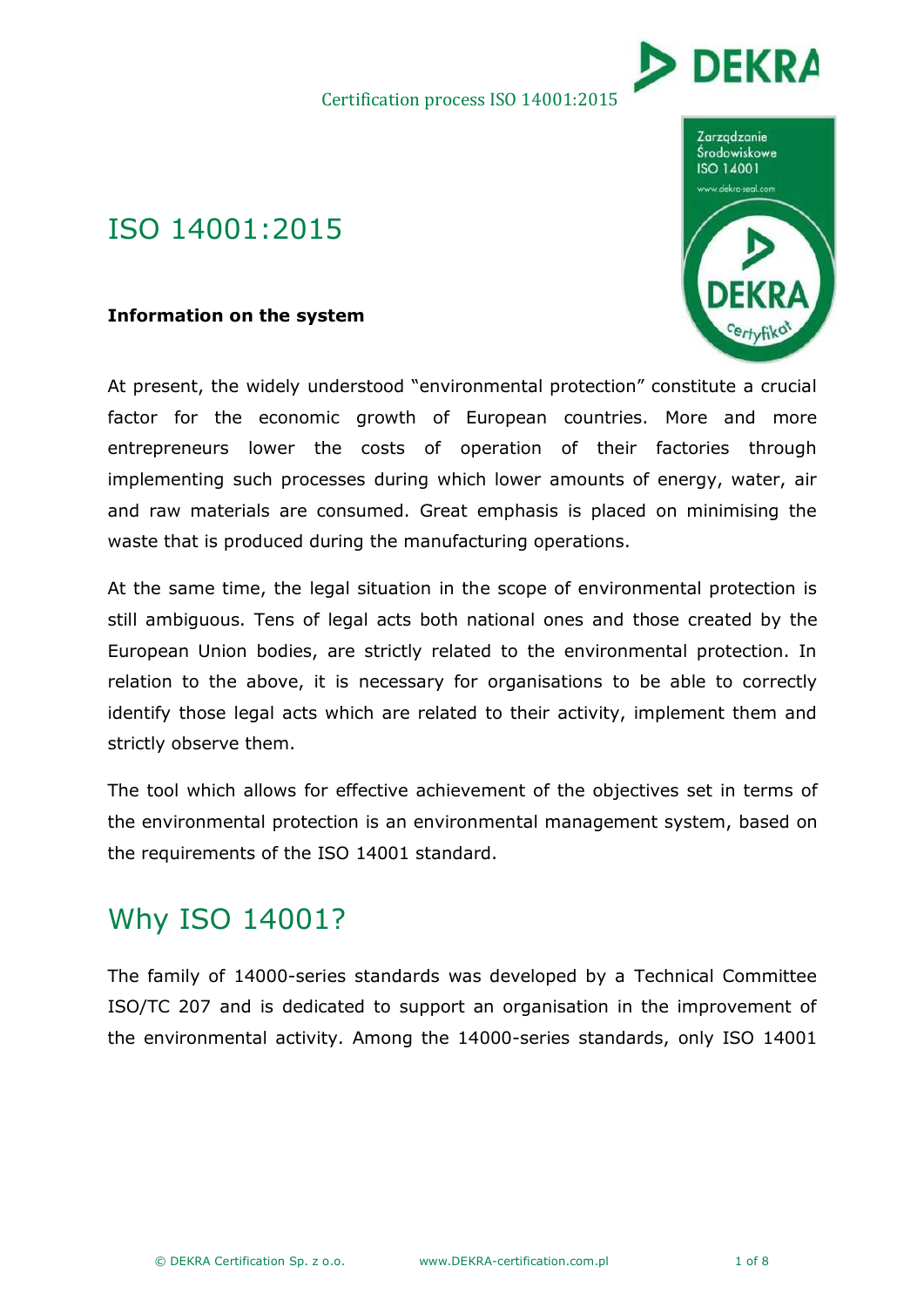

## ISO 14001:2015

### **Information on the system**

At present, the widely understood "environmental protection" constitute a crucial factor for the economic growth of European countries. More and more entrepreneurs lower the costs of operation of their factories through implementing such processes during which lower amounts of energy, water, air and raw materials are consumed. Great emphasis is placed on minimising the waste that is produced during the manufacturing operations.

At the same time, the legal situation in the scope of environmental protection is still ambiguous. Tens of legal acts both national ones and those created by the European Union bodies, are strictly related to the environmental protection. In relation to the above, it is necessary for organisations to be able to correctly identify those legal acts which are related to their activity, implement them and strictly observe them.

The tool which allows for effective achievement of the objectives set in terms of the environmental protection is an environmental management system, based on the requirements of the ISO 14001 standard.

# Why ISO 14001?

The family of 14000-series standards was developed by a Technical Committee ISO/TC 207 and is dedicated to support an organisation in the improvement of the environmental activity. Among the 14000-series standards, only ISO 14001

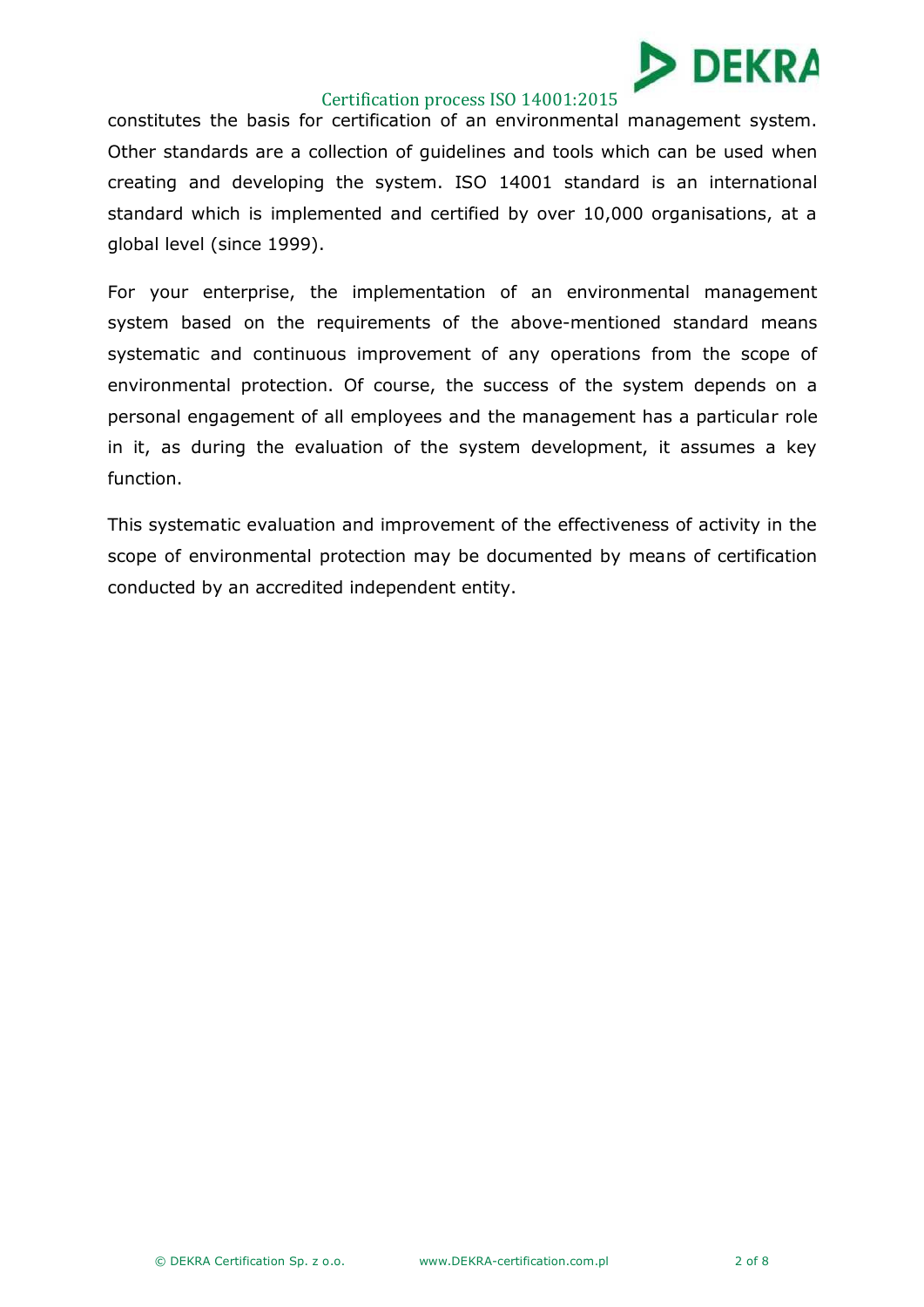

constitutes the basis for certification of an environmental management system. Other standards are a collection of guidelines and tools which can be used when creating and developing the system. ISO 14001 standard is an international standard which is implemented and certified by over 10,000 organisations, at a global level (since 1999).

For your enterprise, the implementation of an environmental management system based on the requirements of the above-mentioned standard means systematic and continuous improvement of any operations from the scope of environmental protection. Of course, the success of the system depends on a personal engagement of all employees and the management has a particular role in it, as during the evaluation of the system development, it assumes a key function.

This systematic evaluation and improvement of the effectiveness of activity in the scope of environmental protection may be documented by means of certification conducted by an accredited independent entity.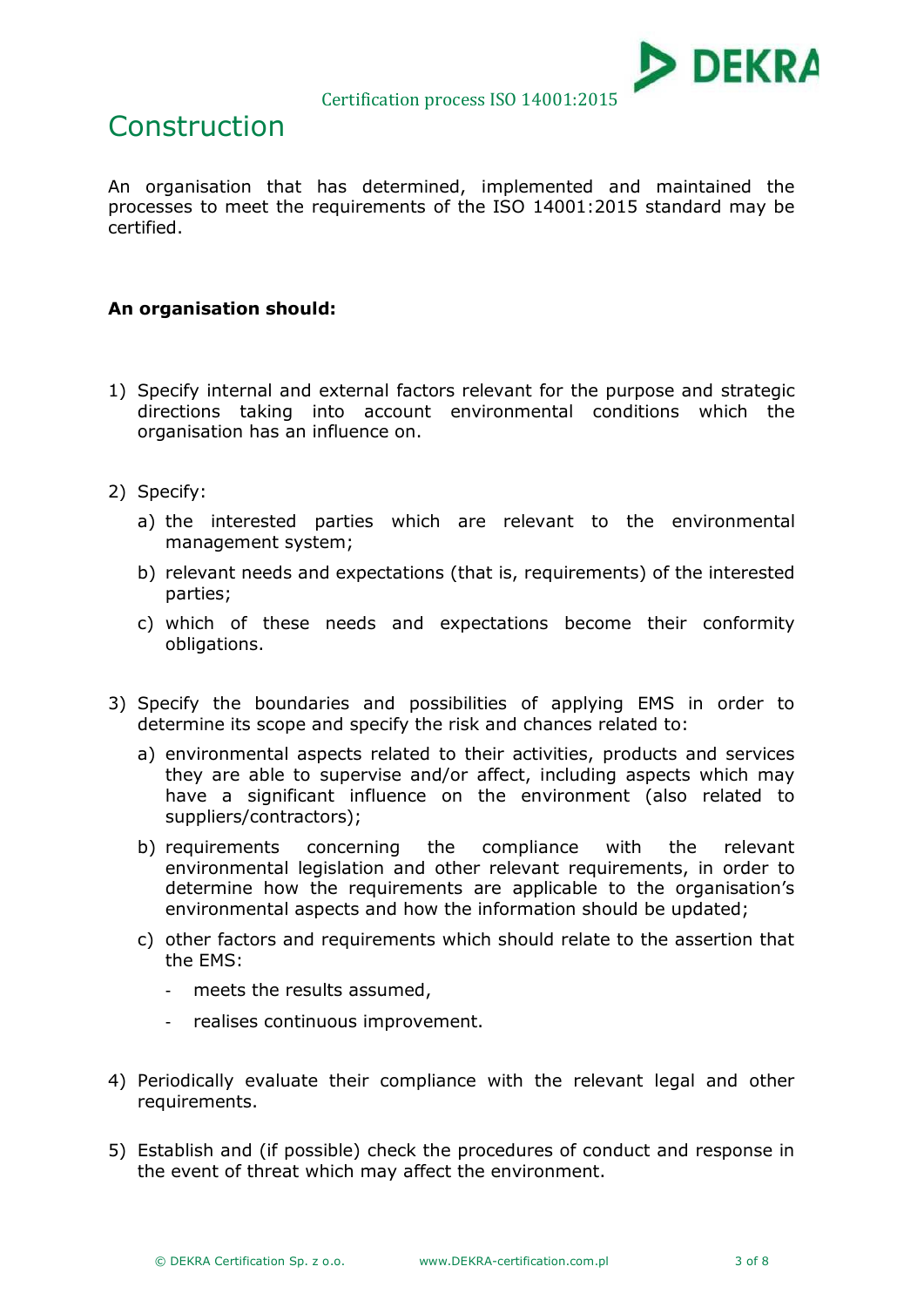

## Construction

An organisation that has determined, implemented and maintained the processes to meet the requirements of the ISO 14001:2015 standard may be certified.

## **An organisation should:**

- 1) Specify internal and external factors relevant for the purpose and strategic directions taking into account environmental conditions which the organisation has an influence on.
- 2) Specify:
	- a) the interested parties which are relevant to the environmental management system;
	- b) relevant needs and expectations (that is, requirements) of the interested parties;
	- c) which of these needs and expectations become their conformity obligations.
- 3) Specify the boundaries and possibilities of applying EMS in order to determine its scope and specify the risk and chances related to:
	- a) environmental aspects related to their activities, products and services they are able to supervise and/or affect, including aspects which may have a significant influence on the environment (also related to suppliers/contractors);
	- b) requirements concerning the compliance with the relevant environmental legislation and other relevant requirements, in order to determine how the requirements are applicable to the organisation's environmental aspects and how the information should be updated;
	- c) other factors and requirements which should relate to the assertion that the EMS:
		- meets the results assumed,
		- realises continuous improvement.
- 4) Periodically evaluate their compliance with the relevant legal and other requirements.
- 5) Establish and (if possible) check the procedures of conduct and response in the event of threat which may affect the environment.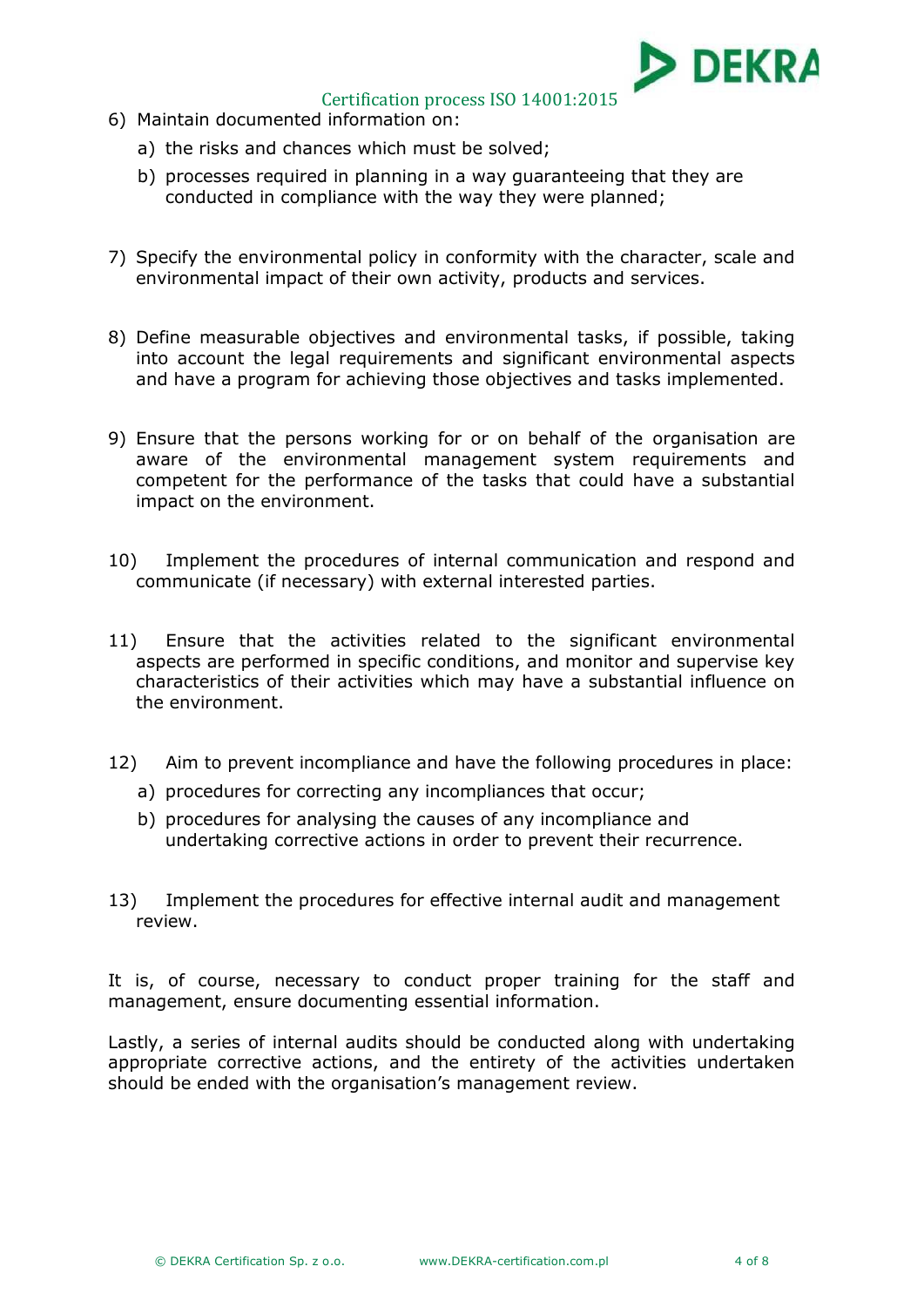

- 6) Maintain documented information on:
	- a) the risks and chances which must be solved;
	- b) processes required in planning in a way guaranteeing that they are conducted in compliance with the way they were planned;
- 7) Specify the environmental policy in conformity with the character, scale and environmental impact of their own activity, products and services.
- 8) Define measurable objectives and environmental tasks, if possible, taking into account the legal requirements and significant environmental aspects and have a program for achieving those objectives and tasks implemented.
- 9) Ensure that the persons working for or on behalf of the organisation are aware of the environmental management system requirements and competent for the performance of the tasks that could have a substantial impact on the environment.
- 10) Implement the procedures of internal communication and respond and communicate (if necessary) with external interested parties.
- 11) Ensure that the activities related to the significant environmental aspects are performed in specific conditions, and monitor and supervise key characteristics of their activities which may have a substantial influence on the environment.
- 12) Aim to prevent incompliance and have the following procedures in place:
	- a) procedures for correcting any incompliances that occur;
	- b) procedures for analysing the causes of any incompliance and undertaking corrective actions in order to prevent their recurrence.
- 13) Implement the procedures for effective internal audit and management review.

It is, of course, necessary to conduct proper training for the staff and management, ensure documenting essential information.

Lastly, a series of internal audits should be conducted along with undertaking appropriate corrective actions, and the entirety of the activities undertaken should be ended with the organisation's management review.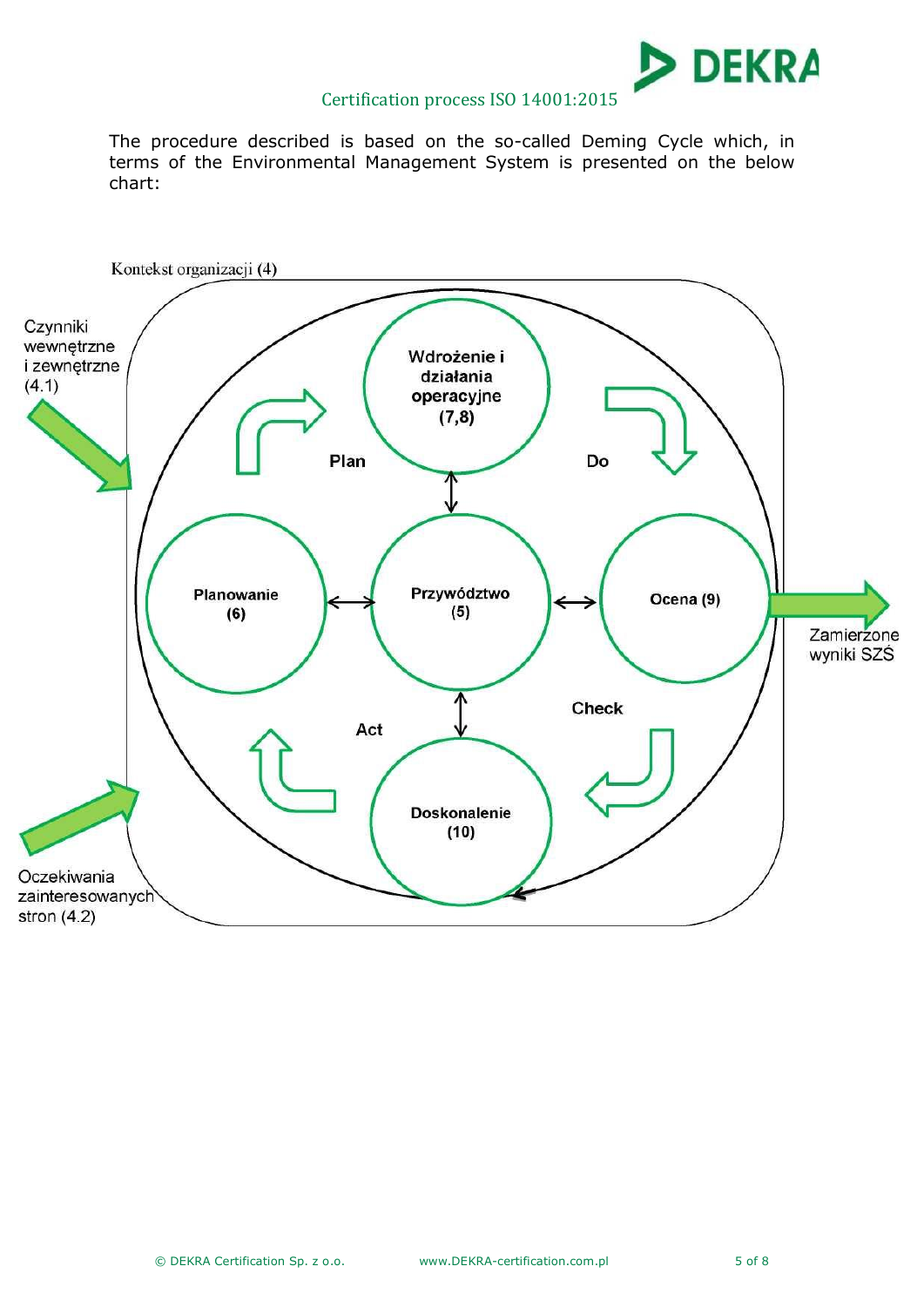

The procedure described is based on the so-called Deming Cycle which, in terms of the Environmental Management System is presented on the below chart:

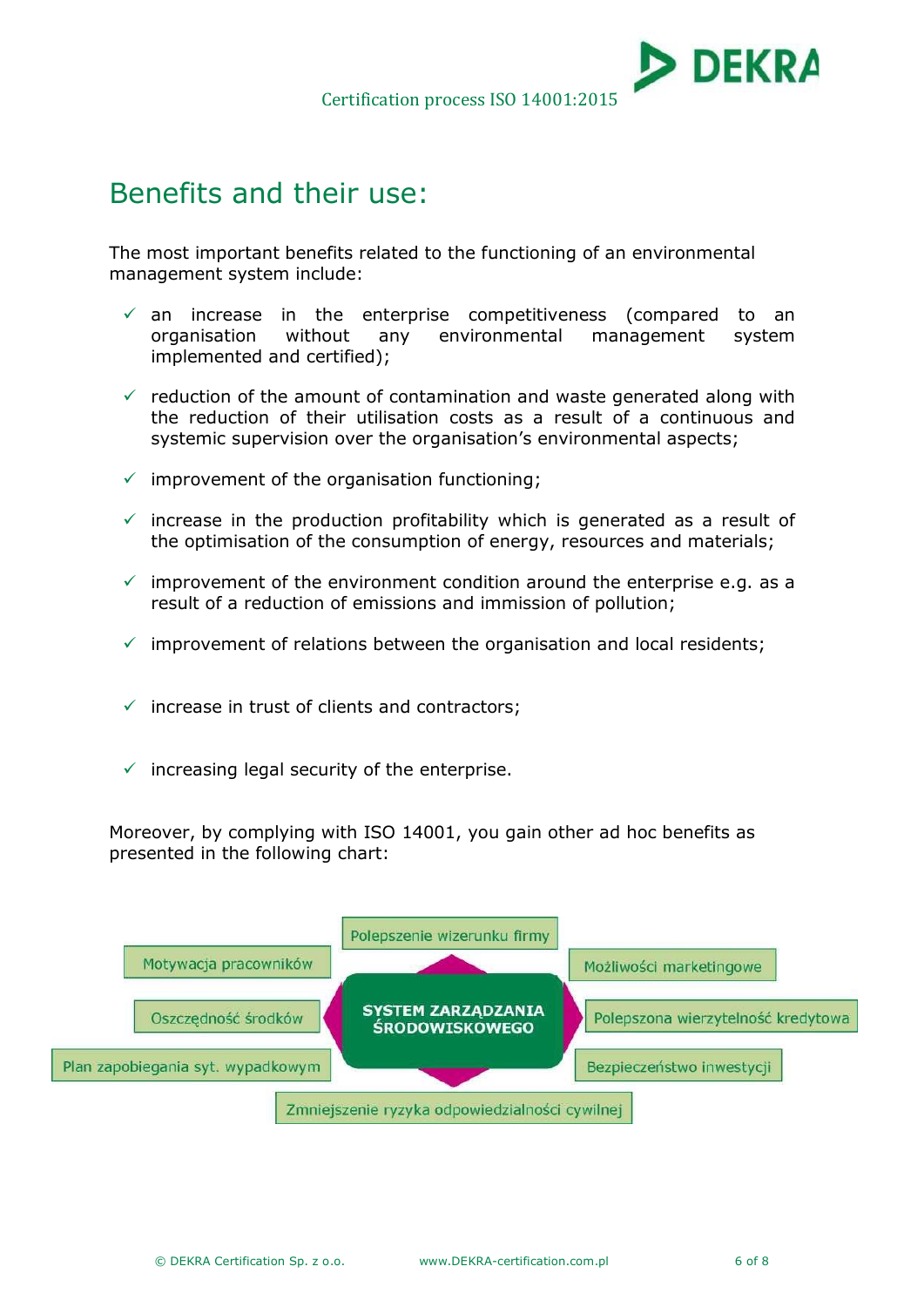

## Benefits and their use:

The most important benefits related to the functioning of an environmental management system include:

- $\checkmark$  an increase in the enterprise competitiveness (compared to an organisation without any environmental management system implemented and certified);
- $\checkmark$  reduction of the amount of contamination and waste generated along with the reduction of their utilisation costs as a result of a continuous and systemic supervision over the organisation's environmental aspects;
- $\checkmark$  improvement of the organisation functioning;
- $\checkmark$  increase in the production profitability which is generated as a result of the optimisation of the consumption of energy, resources and materials;
- $\checkmark$  improvement of the environment condition around the enterprise e.g. as a result of a reduction of emissions and immission of pollution;
- $\checkmark$  improvement of relations between the organisation and local residents;
- $\checkmark$  increase in trust of clients and contractors;
- $\checkmark$  increasing legal security of the enterprise.

Moreover, by complying with ISO 14001, you gain other ad hoc benefits as presented in the following chart:

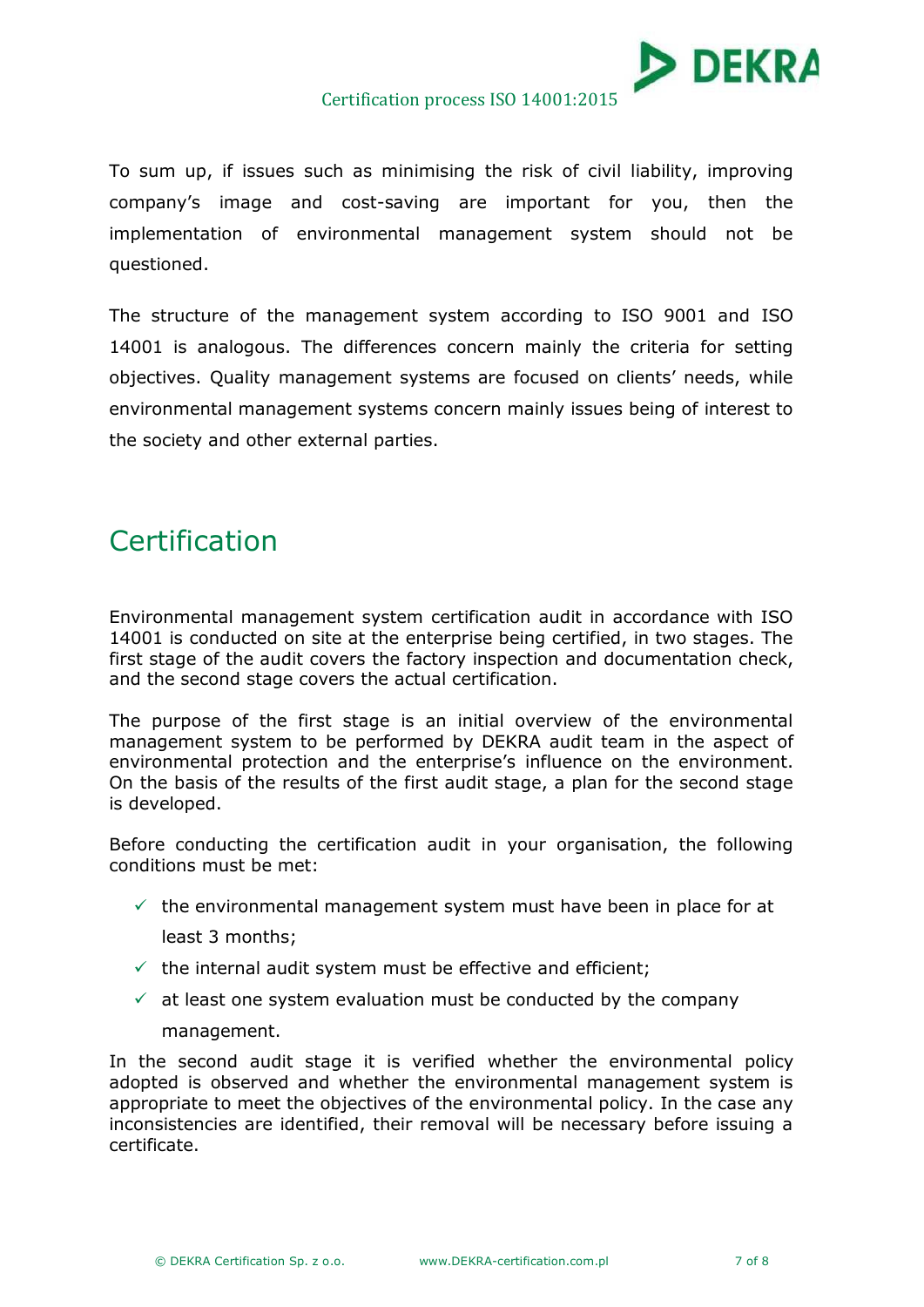

To sum up, if issues such as minimising the risk of civil liability, improving company's image and cost-saving are important for you, then the implementation of environmental management system should not be questioned.

The structure of the management system according to ISO 9001 and ISO 14001 is analogous. The differences concern mainly the criteria for setting objectives. Quality management systems are focused on clients' needs, while environmental management systems concern mainly issues being of interest to the society and other external parties.

# Certification

Environmental management system certification audit in accordance with ISO 14001 is conducted on site at the enterprise being certified, in two stages. The first stage of the audit covers the factory inspection and documentation check, and the second stage covers the actual certification.

The purpose of the first stage is an initial overview of the environmental management system to be performed by DEKRA audit team in the aspect of environmental protection and the enterprise's influence on the environment. On the basis of the results of the first audit stage, a plan for the second stage is developed.

Before conducting the certification audit in your organisation, the following conditions must be met:

 $\checkmark$  the environmental management system must have been in place for at

least 3 months;

- $\checkmark$  the internal audit system must be effective and efficient;
- $\checkmark$  at least one system evaluation must be conducted by the company

### management.

In the second audit stage it is verified whether the environmental policy adopted is observed and whether the environmental management system is appropriate to meet the objectives of the environmental policy. In the case any inconsistencies are identified, their removal will be necessary before issuing a certificate.